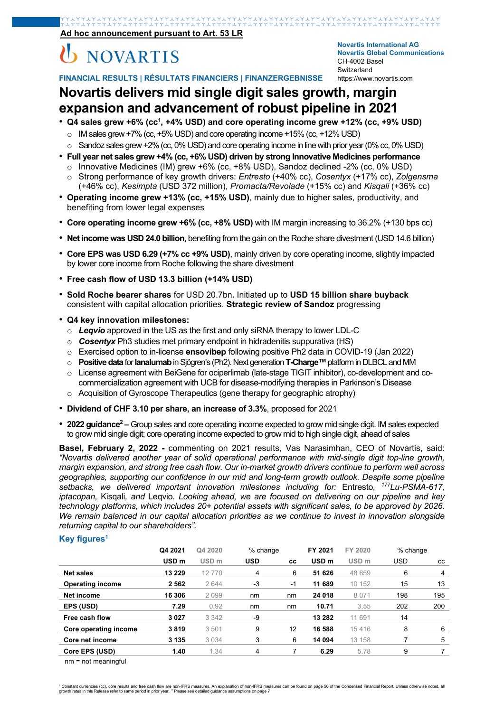**Ad hoc announcement pursuant to Art. 53 LR**

# **NOVARTIS**

**Novartis International AG Novartis Global Communications**  CH-4002 Basel Switzerland https://www.novartis.com

**FINANCIAL RESULTS | RÉSULTATS FINANCIERS | FINANZERGEBNISSE** 

### **Novartis delivers mid single digit sales growth, margin expansion and advancement of robust pipeline in 2021**

- Q4 sales grew +6% (cc<sup>1</sup>, +4% USD) and core operating income grew +12% (cc, +9% USD)
	- $\circ$  IM sales grew +7% (cc, +5% USD) and core operating income +15% (cc, +12% USD)
- $\circ$  Sandoz sales grew +2% (cc, 0% USD) and core operating income in line with prior year (0% cc, 0% USD)
- **Full year net sales grew +4% (cc, +6% USD) driven by strong Innovative Medicines performance**
- o Innovative Medicines (IM) grew +6% (cc, +8% USD), Sandoz declined -2% (cc, 0% USD)
- o Strong performance of key growth drivers: *Entresto* (+40% cc), *Cosentyx* (+17% cc), *Zolgensma* (+46% cc), *Kesimpta* (USD 372 million), *Promacta/Revolade* (+15% cc) and *Kisqali* (+36% cc)
- **Operating income grew +13% (cc, +15% USD)**, mainly due to higher sales, productivity, and benefiting from lower legal expenses
- **Core operating income grew +6% (cc, +8% USD)** with IM margin increasing to 36.2% (+130 bps cc)
- **Net income was USD 24.0 billion,** benefiting from the gain on the Roche share divestment (USD 14.6 billion)
- **Core EPS was USD 6.29 (+7% cc +9% USD)**, mainly driven by core operating income, slightly impacted by lower core income from Roche following the share divestment
- **Free cash flow of USD 13.3 billion (+14% USD)**
- **Sold Roche bearer shares** for USD 20.7bn**.** Initiated up to **USD 15 billion share buyback** consistent with capital allocation priorities. **Strategic review of Sandoz** progressing
- **Q4 key innovation milestones:**
	- o *Leqvio* approved in the US as the first and only siRNA therapy to lower LDL-C
	- o *Cosentyx* Ph3 studies met primary endpoint in hidradenitis suppurativa (HS)
	- o Exercised option to in-license **ensovibep** following positive Ph2 data in COVID-19 (Jan 2022)
	- o **Positive data** for **Ianalumab** in Sjögren's (Ph2). Next generation **T-Charge™** platform in DLBCL and MM
	- o License agreement with BeiGene for ociperlimab (late-stage TIGIT inhibitor), co-development and cocommercialization agreement with UCB for disease-modifying therapies in Parkinson's Disease
	- o Acquisition of Gyroscope Therapeutics (gene therapy for geographic atrophy)
- **Dividend of CHF 3.10 per share, an increase of 3.3%**, proposed for 2021
- 2022 guidance<sup>2</sup> Group sales and core operating income expected to grow mid single digit. IM sales expected to grow mid single digit; core operating income expected to grow mid to high single digit, ahead of sales

**Basel, February 2, 2022 -** commenting on 2021 results, Vas Narasimhan, CEO of Novartis, said: *"Novartis delivered another year of solid operational performance with mid-single digit top-line growth, margin expansion, and strong free cash flow. Our in-market growth drivers continue to perform well across geographies, supporting our confidence in our mid and long-term growth outlook. Despite some pipeline setbacks, we delivered important innovation milestones including for:* Entresto*, 177Lu-PSMA-617, iptacopan,* Kisqali*, and* Leqvio*. Looking ahead, we are focused on delivering on our pipeline and key technology platforms, which includes 20+ potential assets with significant sales, to be approved by 2026. We remain balanced in our capital allocation priorities as we continue to invest in innovation alongside returning capital to our shareholders".* 

#### **Key figures1**

|                         | Q4 2021          | Q4 2020          | % change   |           | FY 2021<br>FY 2020 |                  | % change   |     |
|-------------------------|------------------|------------------|------------|-----------|--------------------|------------------|------------|-----|
|                         | USD <sub>m</sub> | USD <sub>m</sub> | <b>USD</b> | <b>CC</b> | USD <sub>m</sub>   | USD <sub>m</sub> | <b>USD</b> | CC. |
| <b>Net sales</b>        | 13 2 29          | 12770            | 4          | 6         | 51 626             | 48 659           | 6          | 4   |
| <b>Operating income</b> | 2562             | 2 6 4 4          | -3         | -1        | 11 689             | 10 152           | 15         | 13  |
| Net income              | 16 306           | 2099             | nm         | nm        | 24 018             | 8 0 7 1          | 198        | 195 |
| EPS (USD)               | 7.29             | 0.92             | nm         | nm        | 10.71              | 3.55             | 202        | 200 |
| Free cash flow          | 3027             | 3 3 4 2          | -9         |           | 13 282             | 11 691           | 14         |     |
| Core operating income   | 3819             | 3501             | 9          | 12        | 16 588             | 15416            | 8          | 6   |
| Core net income         | 3 1 3 5          | 3 0 3 4          | 3          | 6         | 14 094             | 13 158           |            | 5   |
| Core EPS (USD)          | 1.40             | 1.34             | 4          |           | 6.29               | 5.78             | 9          |     |

nm = not meaningful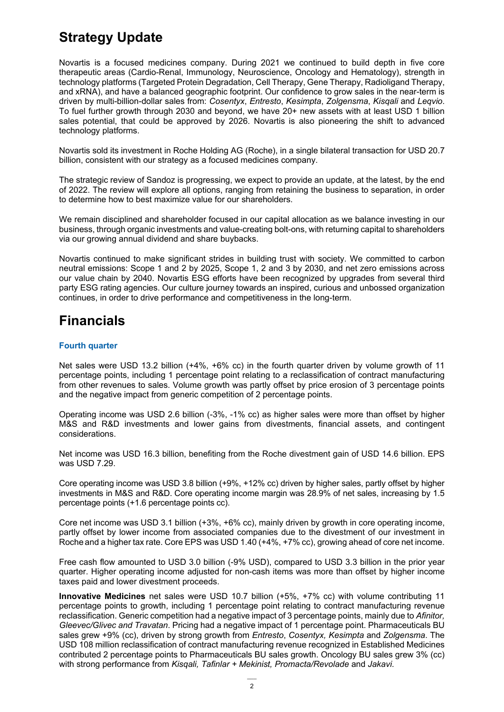### **Strategy Update**

Novartis is a focused medicines company. During 2021 we continued to build depth in five core therapeutic areas (Cardio-Renal, Immunology, Neuroscience, Oncology and Hematology), strength in technology platforms (Targeted Protein Degradation, Cell Therapy, Gene Therapy, Radioligand Therapy, and xRNA), and have a balanced geographic footprint. Our confidence to grow sales in the near-term is driven by multi-billion-dollar sales from: *Cosentyx*, *Entresto*, *Kesimpta*, *Zolgensma*, *Kisqali* and *Leqvio*. To fuel further growth through 2030 and beyond, we have 20+ new assets with at least USD 1 billion sales potential, that could be approved by 2026. Novartis is also pioneering the shift to advanced technology platforms.

Novartis sold its investment in Roche Holding AG (Roche), in a single bilateral transaction for USD 20.7 billion, consistent with our strategy as a focused medicines company.

The strategic review of Sandoz is progressing, we expect to provide an update, at the latest, by the end of 2022. The review will explore all options, ranging from retaining the business to separation, in order to determine how to best maximize value for our shareholders.

We remain disciplined and shareholder focused in our capital allocation as we balance investing in our business, through organic investments and value-creating bolt-ons, with returning capital to shareholders via our growing annual dividend and share buybacks.

Novartis continued to make significant strides in building trust with society. We committed to carbon neutral emissions: Scope 1 and 2 by 2025, Scope 1, 2 and 3 by 2030, and net zero emissions across our value chain by 2040. Novartis ESG efforts have been recognized by upgrades from several third party ESG rating agencies. Our culture journey towards an inspired, curious and unbossed organization continues, in order to drive performance and competitiveness in the long-term.

### **Financials**

#### **Fourth quarter**

Net sales were USD 13.2 billion (+4%, +6% cc) in the fourth quarter driven by volume growth of 11 percentage points, including 1 percentage point relating to a reclassification of contract manufacturing from other revenues to sales. Volume growth was partly offset by price erosion of 3 percentage points and the negative impact from generic competition of 2 percentage points.

Operating income was USD 2.6 billion (-3%, -1% cc) as higher sales were more than offset by higher M&S and R&D investments and lower gains from divestments, financial assets, and contingent considerations.

Net income was USD 16.3 billion, benefiting from the Roche divestment gain of USD 14.6 billion. EPS was USD 7.29.

Core operating income was USD 3.8 billion (+9%, +12% cc) driven by higher sales, partly offset by higher investments in M&S and R&D. Core operating income margin was 28.9% of net sales, increasing by 1.5 percentage points (+1.6 percentage points cc).

Core net income was USD 3.1 billion (+3%, +6% cc), mainly driven by growth in core operating income, partly offset by lower income from associated companies due to the divestment of our investment in Roche and a higher tax rate. Core EPS was USD 1.40 (+4%, +7% cc), growing ahead of core net income.

Free cash flow amounted to USD 3.0 billion (-9% USD), compared to USD 3.3 billion in the prior year quarter. Higher operating income adjusted for non-cash items was more than offset by higher income taxes paid and lower divestment proceeds.

**Innovative Medicines** net sales were USD 10.7 billion (+5%, +7% cc) with volume contributing 11 percentage points to growth, including 1 percentage point relating to contract manufacturing revenue reclassification. Generic competition had a negative impact of 3 percentage points, mainly due to *Afinitor, Gleevec/Glivec and Travatan*. Pricing had a negative impact of 1 percentage point. Pharmaceuticals BU sales grew +9% (cc), driven by strong growth from *Entresto*, *Cosentyx, Kesimpta* and *Zolgensma*. The USD 108 million reclassification of contract manufacturing revenue recognized in Established Medicines contributed 2 percentage points to Pharmaceuticals BU sales growth. Oncology BU sales grew 3% (cc) with strong performance from *Kisqali, Tafinlar + Mekinist, Promacta/Revolade* and *Jakavi*.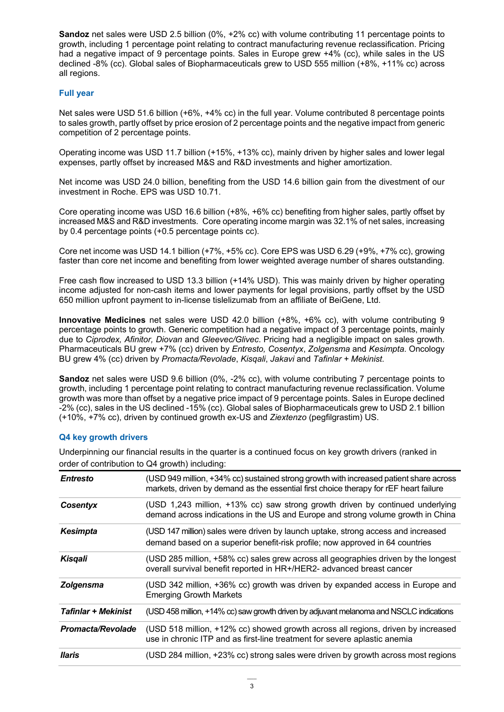**Sandoz** net sales were USD 2.5 billion (0%, +2% cc) with volume contributing 11 percentage points to growth, including 1 percentage point relating to contract manufacturing revenue reclassification. Pricing had a negative impact of 9 percentage points. Sales in Europe grew +4% (cc), while sales in the US declined -8% (cc). Global sales of Biopharmaceuticals grew to USD 555 million (+8%, +11% cc) across all regions.

#### **Full year**

Net sales were USD 51.6 billion (+6%, +4% cc) in the full year. Volume contributed 8 percentage points to sales growth, partly offset by price erosion of 2 percentage points and the negative impact from generic competition of 2 percentage points.

Operating income was USD 11.7 billion (+15%, +13% cc), mainly driven by higher sales and lower legal expenses, partly offset by increased M&S and R&D investments and higher amortization.

Net income was USD 24.0 billion, benefiting from the USD 14.6 billion gain from the divestment of our investment in Roche. EPS was USD 10.71.

Core operating income was USD 16.6 billion (+8%, +6% cc) benefiting from higher sales, partly offset by increased M&S and R&D investments. Core operating income margin was 32.1% of net sales, increasing by 0.4 percentage points (+0.5 percentage points cc).

Core net income was USD 14.1 billion (+7%, +5% cc). Core EPS was USD 6.29 (+9%, +7% cc), growing faster than core net income and benefiting from lower weighted average number of shares outstanding.

Free cash flow increased to USD 13.3 billion (+14% USD). This was mainly driven by higher operating income adjusted for non-cash items and lower payments for legal provisions, partly offset by the USD 650 million upfront payment to in-license tislelizumab from an affiliate of BeiGene, Ltd.

**Innovative Medicines** net sales were USD 42.0 billion (+8%, +6% cc), with volume contributing 9 percentage points to growth. Generic competition had a negative impact of 3 percentage points, mainly due to *Ciprodex, Afinitor, Diovan* and *Gleevec/Glivec*. Pricing had a negligible impact on sales growth. Pharmaceuticals BU grew +7% (cc) driven by *Entresto, Cosentyx*, *Zolgensma* and *Kesimpta*. Oncology BU grew 4% (cc) driven by *Promacta/Revolade*, *Kisqali*, *Jakavi* and *Tafinlar + Mekinist*.

**Sandoz** net sales were USD 9.6 billion (0%, -2% cc), with volume contributing 7 percentage points to growth, including 1 percentage point relating to contract manufacturing revenue reclassification. Volume growth was more than offset by a negative price impact of 9 percentage points. Sales in Europe declined -2% (cc), sales in the US declined -15% (cc). Global sales of Biopharmaceuticals grew to USD 2.1 billion (+10%, +7% cc), driven by continued growth ex-US and *Ziextenzo* (pegfilgrastim) US.

#### **Q4 key growth drivers**

Underpinning our financial results in the quarter is a continued focus on key growth drivers (ranked in order of contribution to Q4 growth) including:

| <b>Entresto</b>            | (USD 949 million, +34% cc) sustained strong growth with increased patient share across<br>markets, driven by demand as the essential first choice therapy for rEF heart failure |
|----------------------------|---------------------------------------------------------------------------------------------------------------------------------------------------------------------------------|
| <b>Cosentyx</b>            | (USD 1,243 million, +13% cc) saw strong growth driven by continued underlying<br>demand across indications in the US and Europe and strong volume growth in China               |
| <b>Kesimpta</b>            | (USD 147 million) sales were driven by launch uptake, strong access and increased<br>demand based on a superior benefit-risk profile; now approved in 64 countries              |
| Kisgali                    | (USD 285 million, +58% cc) sales grew across all geographies driven by the longest<br>overall survival benefit reported in HR+/HER2- advanced breast cancer                     |
| Zolgensma                  | (USD 342 million, +36% cc) growth was driven by expanded access in Europe and<br><b>Emerging Growth Markets</b>                                                                 |
| <b>Tafinlar + Mekinist</b> | (USD 458 million, +14% cc) saw growth driven by adjuvant melanoma and NSCLC indications                                                                                         |
| <b>Promacta/Revolade</b>   | (USD 518 million, +12% cc) showed growth across all regions, driven by increased<br>use in chronic ITP and as first-line treatment for severe aplastic anemia                   |
| llaris                     | (USD 284 million, +23% cc) strong sales were driven by growth across most regions                                                                                               |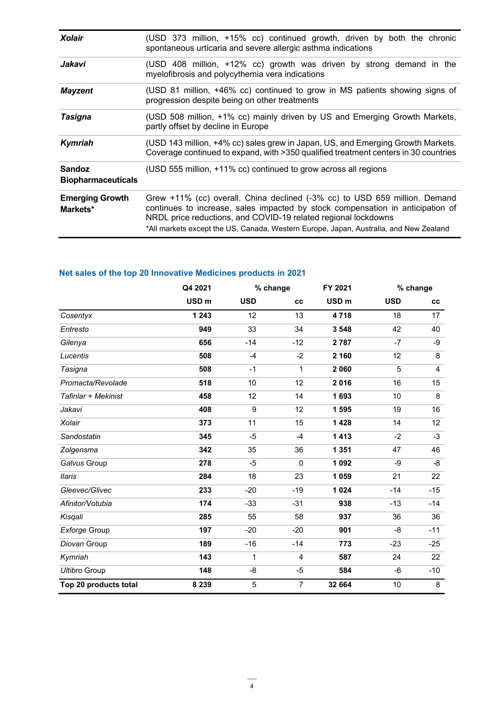| <b>Xolair</b>                              | (USD 373 million, +15% cc) continued growth, driven by both the chronic<br>spontaneous urticaria and severe allergic asthma indications                                                                                                                                                                                 |
|--------------------------------------------|-------------------------------------------------------------------------------------------------------------------------------------------------------------------------------------------------------------------------------------------------------------------------------------------------------------------------|
| Jakavi                                     | (USD 408 million, +12% cc) growth was driven by strong demand in the<br>myelofibrosis and polycythemia vera indications                                                                                                                                                                                                 |
| <b>Mayzent</b>                             | (USD 81 million, +46% cc) continued to grow in MS patients showing signs of<br>progression despite being on other treatments                                                                                                                                                                                            |
| Tasigna                                    | (USD 508 million, +1% cc) mainly driven by US and Emerging Growth Markets,<br>partly offset by decline in Europe                                                                                                                                                                                                        |
| Kymriah                                    | (USD 143 million, +4% cc) sales grew in Japan, US, and Emerging Growth Markets.<br>Coverage continued to expand, with >350 qualified treatment centers in 30 countries                                                                                                                                                  |
| <b>Sandoz</b><br><b>Biopharmaceuticals</b> | (USD 555 million, +11% cc) continued to grow across all regions                                                                                                                                                                                                                                                         |
| <b>Emerging Growth</b><br>Markets*         | Grew +11% (cc) overall. China declined (-3% cc) to USD 659 million. Demand<br>continues to increase, sales impacted by stock compensation in anticipation of<br>NRDL price reductions, and COVID-19 related regional lockdowns<br>*All markets except the US, Canada, Western Europe, Japan, Australia, and New Zealand |

### **Net sales of the top 20 Innovative Medicines products in 2021**

|                       | Q4 2021          |              | % change       | FY 2021          | % change   |       |
|-----------------------|------------------|--------------|----------------|------------------|------------|-------|
|                       | USD <sub>m</sub> | <b>USD</b>   | cc             | USD <sub>m</sub> | <b>USD</b> | cc    |
| Cosentyx              | 1 2 4 3          | 12           | 13             | 4718             | 18         | 17    |
| Entresto              | 949              | 33           | 34             | 3 5 4 8          | 42         | 40    |
| Gilenya               | 656              | $-14$        | $-12$          | 2787             | $-7$       | -9    |
| Lucentis              | 508              | $-4$         | $-2$           | 2 160            | 12         | 8     |
| Tasigna               | 508              | $-1$         | $\mathbf{1}$   | 2 0 6 0          | 5          | 4     |
| Promacta/Revolade     | 518              | 10           | 12             | 2016             | 16         | 15    |
| Tafinlar + Mekinist   | 458              | 12           | 14             | 1693             | 10         | 8     |
| Jakavi                | 408              | 9            | 12             | 1 595            | 19         | 16    |
| Xolair                | 373              | 11           | 15             | 1 4 2 8          | 14         | 12    |
| Sandostatin           | 345              | $-5$         | $-4$           | 1413             | $-2$       | $-3$  |
| Zolgensma             | 342              | 35           | 36             | 1 3 5 1          | 47         | 46    |
| Galvus Group          | 278              | $-5$         | $\mathbf{0}$   | 1 0 9 2          | -9         | -8    |
| <b>Ilaris</b>         | 284              | 18           | 23             | 1 0 5 9          | 21         | 22    |
| Gleevec/Glivec        | 233              | $-20$        | $-19$          | 1 0 2 4          | $-14$      | $-15$ |
| Afinitor/Votubia      | 174              | $-33$        | $-31$          | 938              | $-13$      | $-14$ |
| Kisqali               | 285              | 55           | 58             | 937              | 36         | 36    |
| Exforge Group         | 197              | $-20$        | $-20$          | 901              | $-8$       | $-11$ |
| Diovan Group          | 189              | $-16$        | $-14$          | 773              | $-23$      | $-25$ |
| Kymriah               | 143              | $\mathbf{1}$ | $\overline{4}$ | 587              | 24         | 22    |
| <b>Ultibro Group</b>  | 148              | -8           | -5             | 584              | -6         | $-10$ |
| Top 20 products total | 8 2 3 9          | 5            | $\overline{7}$ | 32 664           | 10         | 8     |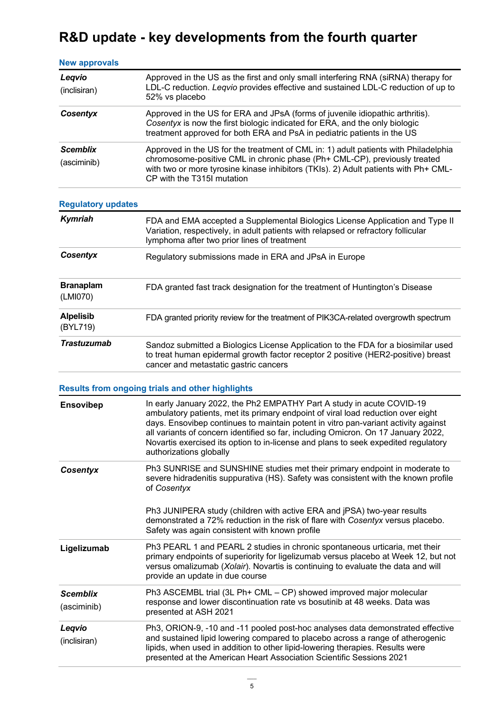## **R&D update - key developments from the fourth quarter**

| <b>New approvals</b>           |                                                                                                                                                                                                                                                                                                                                                                                                                                                       |  |  |  |  |  |
|--------------------------------|-------------------------------------------------------------------------------------------------------------------------------------------------------------------------------------------------------------------------------------------------------------------------------------------------------------------------------------------------------------------------------------------------------------------------------------------------------|--|--|--|--|--|
| Legvio<br>(inclisiran)         | Approved in the US as the first and only small interfering RNA (siRNA) therapy for<br>LDL-C reduction. Leqvio provides effective and sustained LDL-C reduction of up to<br>52% vs placebo                                                                                                                                                                                                                                                             |  |  |  |  |  |
| Cosentyx                       | Approved in the US for ERA and JPsA (forms of juvenile idiopathic arthritis).<br>Cosentyx is now the first biologic indicated for ERA, and the only biologic<br>treatment approved for both ERA and PsA in pediatric patients in the US                                                                                                                                                                                                               |  |  |  |  |  |
| <b>Scemblix</b><br>(asciminib) | Approved in the US for the treatment of CML in: 1) adult patients with Philadelphia<br>chromosome-positive CML in chronic phase (Ph+ CML-CP), previously treated<br>with two or more tyrosine kinase inhibitors (TKIs). 2) Adult patients with Ph+ CML-<br>CP with the T315I mutation                                                                                                                                                                 |  |  |  |  |  |
| <b>Regulatory updates</b>      |                                                                                                                                                                                                                                                                                                                                                                                                                                                       |  |  |  |  |  |
| Kymriah                        | FDA and EMA accepted a Supplemental Biologics License Application and Type II<br>Variation, respectively, in adult patients with relapsed or refractory follicular<br>lymphoma after two prior lines of treatment                                                                                                                                                                                                                                     |  |  |  |  |  |
| Cosentyx                       | Regulatory submissions made in ERA and JPsA in Europe                                                                                                                                                                                                                                                                                                                                                                                                 |  |  |  |  |  |
| <b>Branaplam</b><br>(LMI070)   | FDA granted fast track designation for the treatment of Huntington's Disease                                                                                                                                                                                                                                                                                                                                                                          |  |  |  |  |  |
| <b>Alpelisib</b><br>(BYL719)   | FDA granted priority review for the treatment of PIK3CA-related overgrowth spectrum                                                                                                                                                                                                                                                                                                                                                                   |  |  |  |  |  |
| <b>Trastuzumab</b>             | Sandoz submitted a Biologics License Application to the FDA for a biosimilar used<br>to treat human epidermal growth factor receptor 2 positive (HER2-positive) breast<br>cancer and metastatic gastric cancers                                                                                                                                                                                                                                       |  |  |  |  |  |
|                                | <b>Results from ongoing trials and other highlights</b>                                                                                                                                                                                                                                                                                                                                                                                               |  |  |  |  |  |
| Ensovibep                      | In early January 2022, the Ph2 EMPATHY Part A study in acute COVID-19<br>ambulatory patients, met its primary endpoint of viral load reduction over eight<br>days. Ensovibep continues to maintain potent in vitro pan-variant activity against<br>all variants of concern identified so far, including Omicron. On 17 January 2022,<br>Novartis exercised its option to in-license and plans to seek expedited regulatory<br>authorizations globally |  |  |  |  |  |
| <b>Cosentyx</b>                | Ph3 SUNRISE and SUNSHINE studies met their primary endpoint in moderate to<br>severe hidradenitis suppurativa (HS). Safety was consistent with the known profile<br>of Cosentyx                                                                                                                                                                                                                                                                       |  |  |  |  |  |
|                                | Ph3 JUNIPERA study (children with active ERA and jPSA) two-year results<br>demonstrated a 72% reduction in the risk of flare with Cosentyx versus placebo.<br>Safety was again consistent with known profile                                                                                                                                                                                                                                          |  |  |  |  |  |
| Ligelizumab                    | Ph3 PEARL 1 and PEARL 2 studies in chronic spontaneous urticaria, met their<br>primary endpoints of superiority for ligelizumab versus placebo at Week 12, but not<br>versus omalizumab (Xolair). Novartis is continuing to evaluate the data and will<br>provide an update in due course                                                                                                                                                             |  |  |  |  |  |
| <b>Scemblix</b><br>(asciminib) | Ph3 ASCEMBL trial (3L Ph+ CML – CP) showed improved major molecular<br>response and lower discontinuation rate vs bosutinib at 48 weeks. Data was<br>presented at ASH 2021                                                                                                                                                                                                                                                                            |  |  |  |  |  |
| Leqvio<br>(inclisiran)         | Ph3, ORION-9, -10 and -11 pooled post-hoc analyses data demonstrated effective<br>and sustained lipid lowering compared to placebo across a range of atherogenic<br>lipids, when used in addition to other lipid-lowering therapies. Results were<br>presented at the American Heart Association Scientific Sessions 2021                                                                                                                             |  |  |  |  |  |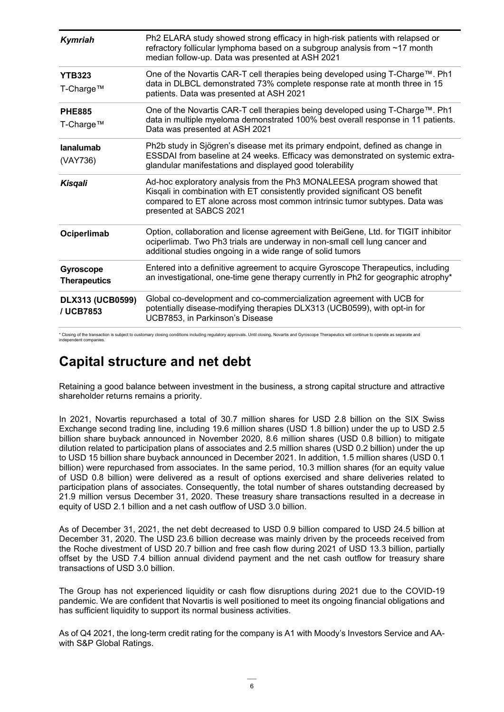| Kymriah                              | Ph2 ELARA study showed strong efficacy in high-risk patients with relapsed or<br>refractory follicular lymphoma based on a subgroup analysis from ~17 month<br>median follow-up. Data was presented at ASH 2021                                                |
|--------------------------------------|----------------------------------------------------------------------------------------------------------------------------------------------------------------------------------------------------------------------------------------------------------------|
| <b>YTB323</b><br>T-Charge™           | One of the Novartis CAR-T cell therapies being developed using T-Charge™. Ph1<br>data in DLBCL demonstrated 73% complete response rate at month three in 15<br>patients. Data was presented at ASH 2021                                                        |
| <b>PHE885</b><br>T-Charge™           | One of the Novartis CAR-T cell therapies being developed using T-Charge™. Ph1<br>data in multiple myeloma demonstrated 100% best overall response in 11 patients.<br>Data was presented at ASH 2021                                                            |
| lanalumab<br>(VAY736)                | Ph2b study in Sjögren's disease met its primary endpoint, defined as change in<br>ESSDAI from baseline at 24 weeks. Efficacy was demonstrated on systemic extra-<br>glandular manifestations and displayed good tolerability                                   |
| <b>Kisqali</b>                       | Ad-hoc exploratory analysis from the Ph3 MONALEESA program showed that<br>Kisqali in combination with ET consistently provided significant OS benefit<br>compared to ET alone across most common intrinsic tumor subtypes. Data was<br>presented at SABCS 2021 |
| Ociperlimab                          | Option, collaboration and license agreement with BeiGene, Ltd. for TIGIT inhibitor<br>ociperlimab. Two Ph3 trials are underway in non-small cell lung cancer and<br>additional studies ongoing in a wide range of solid tumors                                 |
| Gyroscope<br><b>Therapeutics</b>     | Entered into a definitive agreement to acquire Gyroscope Therapeutics, including<br>an investigational, one-time gene therapy currently in Ph2 for geographic atrophy*                                                                                         |
| <b>DLX313 (UCB0599)</b><br>/ UCB7853 | Global co-development and co-commercialization agreement with UCB for<br>potentially disease-modifying therapies DLX313 (UCB0599), with opt-in for<br>UCB7853, in Parkinson's Disease                                                                          |

\* Closing of the transaction is subject to customary closing conditions including regulatory approvals. Until closing, Novartis and Gyroscope Therapeutics will continue to operate as separate and independent companies.

### **Capital structure and net debt**

Retaining a good balance between investment in the business, a strong capital structure and attractive shareholder returns remains a priority.

In 2021, Novartis repurchased a total of 30.7 million shares for USD 2.8 billion on the SIX Swiss Exchange second trading line, including 19.6 million shares (USD 1.8 billion) under the up to USD 2.5 billion share buyback announced in November 2020, 8.6 million shares (USD 0.8 billion) to mitigate dilution related to participation plans of associates and 2.5 million shares (USD 0.2 billion) under the up to USD 15 billion share buyback announced in December 2021. In addition, 1.5 million shares (USD 0.1 billion) were repurchased from associates. In the same period, 10.3 million shares (for an equity value of USD 0.8 billion) were delivered as a result of options exercised and share deliveries related to participation plans of associates. Consequently, the total number of shares outstanding decreased by 21.9 million versus December 31, 2020. These treasury share transactions resulted in a decrease in equity of USD 2.1 billion and a net cash outflow of USD 3.0 billion.

As of December 31, 2021, the net debt decreased to USD 0.9 billion compared to USD 24.5 billion at December 31, 2020. The USD 23.6 billion decrease was mainly driven by the proceeds received from the Roche divestment of USD 20.7 billion and free cash flow during 2021 of USD 13.3 billion, partially offset by the USD 7.4 billion annual dividend payment and the net cash outflow for treasury share transactions of USD 3.0 billion.

The Group has not experienced liquidity or cash flow disruptions during 2021 due to the COVID-19 pandemic. We are confident that Novartis is well positioned to meet its ongoing financial obligations and has sufficient liquidity to support its normal business activities.

As of Q4 2021, the long-term credit rating for the company is A1 with Moody's Investors Service and AAwith S&P Global Ratings.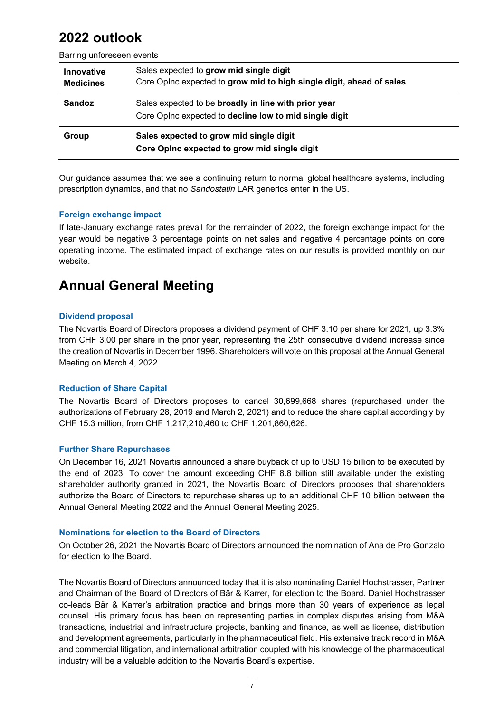### **2022 outlook**

Barring unforeseen events

| <b>Innovative</b><br><b>Medicines</b> | Sales expected to grow mid single digit<br>Core Opinc expected to grow mid to high single digit, ahead of sales |
|---------------------------------------|-----------------------------------------------------------------------------------------------------------------|
| <b>Sandoz</b>                         | Sales expected to be broadly in line with prior year<br>Core Opinc expected to decline low to mid single digit  |
| Group                                 | Sales expected to grow mid single digit<br>Core Opinc expected to grow mid single digit                         |

Our guidance assumes that we see a continuing return to normal global healthcare systems, including prescription dynamics, and that no *Sandostatin* LAR generics enter in the US.

#### **Foreign exchange impact**

If late-January exchange rates prevail for the remainder of 2022, the foreign exchange impact for the year would be negative 3 percentage points on net sales and negative 4 percentage points on core operating income. The estimated impact of exchange rates on our results is provided monthly on our website.

### **Annual General Meeting**

#### **Dividend proposal**

The Novartis Board of Directors proposes a dividend payment of CHF 3.10 per share for 2021, up 3.3% from CHF 3.00 per share in the prior year, representing the 25th consecutive dividend increase since the creation of Novartis in December 1996. Shareholders will vote on this proposal at the Annual General Meeting on March 4, 2022.

#### **Reduction of Share Capital**

The Novartis Board of Directors proposes to cancel 30,699,668 shares (repurchased under the authorizations of February 28, 2019 and March 2, 2021) and to reduce the share capital accordingly by CHF 15.3 million, from CHF 1,217,210,460 to CHF 1,201,860,626.

#### **Further Share Repurchases**

On December 16, 2021 Novartis announced a share buyback of up to USD 15 billion to be executed by the end of 2023. To cover the amount exceeding CHF 8.8 billion still available under the existing shareholder authority granted in 2021, the Novartis Board of Directors proposes that shareholders authorize the Board of Directors to repurchase shares up to an additional CHF 10 billion between the Annual General Meeting 2022 and the Annual General Meeting 2025.

#### **Nominations for election to the Board of Directors**

On October 26, 2021 the Novartis Board of Directors announced the nomination of Ana de Pro Gonzalo for election to the Board.

The Novartis Board of Directors announced today that it is also nominating Daniel Hochstrasser, Partner and Chairman of the Board of Directors of Bär & Karrer, for election to the Board. Daniel Hochstrasser co-leads Bär & Karrer's arbitration practice and brings more than 30 years of experience as legal counsel. His primary focus has been on representing parties in complex disputes arising from M&A transactions, industrial and infrastructure projects, banking and finance, as well as license, distribution and development agreements, particularly in the pharmaceutical field. His extensive track record in M&A and commercial litigation, and international arbitration coupled with his knowledge of the pharmaceutical industry will be a valuable addition to the Novartis Board's expertise.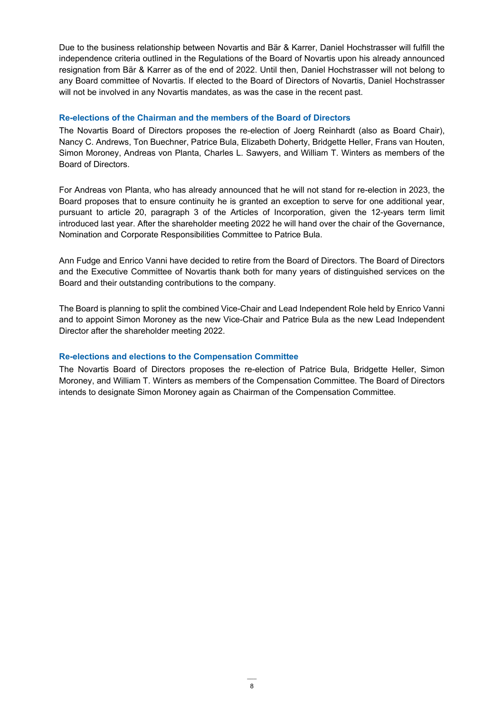Due to the business relationship between Novartis and Bär & Karrer, Daniel Hochstrasser will fulfill the independence criteria outlined in the Regulations of the Board of Novartis upon his already announced resignation from Bär & Karrer as of the end of 2022. Until then, Daniel Hochstrasser will not belong to any Board committee of Novartis. If elected to the Board of Directors of Novartis, Daniel Hochstrasser will not be involved in any Novartis mandates, as was the case in the recent past.

#### **Re-elections of the Chairman and the members of the Board of Directors**

The Novartis Board of Directors proposes the re-election of Joerg Reinhardt (also as Board Chair), Nancy C. Andrews, Ton Buechner, Patrice Bula, Elizabeth Doherty, Bridgette Heller, Frans van Houten, Simon Moroney, Andreas von Planta, Charles L. Sawyers, and William T. Winters as members of the Board of Directors.

For Andreas von Planta, who has already announced that he will not stand for re-election in 2023, the Board proposes that to ensure continuity he is granted an exception to serve for one additional year, pursuant to article 20, paragraph 3 of the Articles of Incorporation, given the 12-years term limit introduced last year. After the shareholder meeting 2022 he will hand over the chair of the Governance, Nomination and Corporate Responsibilities Committee to Patrice Bula.

Ann Fudge and Enrico Vanni have decided to retire from the Board of Directors. The Board of Directors and the Executive Committee of Novartis thank both for many years of distinguished services on the Board and their outstanding contributions to the company.

The Board is planning to split the combined Vice-Chair and Lead Independent Role held by Enrico Vanni and to appoint Simon Moroney as the new Vice-Chair and Patrice Bula as the new Lead Independent Director after the shareholder meeting 2022.

#### **Re-elections and elections to the Compensation Committee**

The Novartis Board of Directors proposes the re-election of Patrice Bula, Bridgette Heller, Simon Moroney, and William T. Winters as members of the Compensation Committee. The Board of Directors intends to designate Simon Moroney again as Chairman of the Compensation Committee.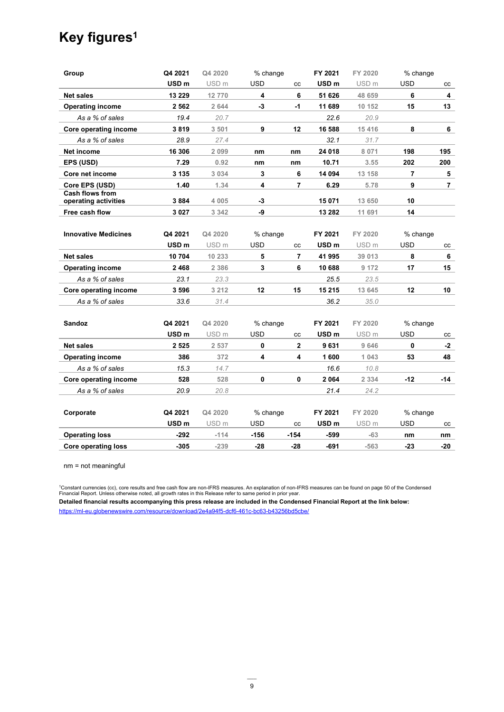### **Key figures1**

| Group                                          | Q4 2021          | Q4 2020          | % change    |                | FY 2021          | FY 2020          | % change       |     |
|------------------------------------------------|------------------|------------------|-------------|----------------|------------------|------------------|----------------|-----|
|                                                | USD <sub>m</sub> | USD <sub>m</sub> | <b>USD</b>  | CC             | USD <sub>m</sub> | USD <sub>m</sub> | <b>USD</b>     | CC  |
| <b>Net sales</b>                               | 13 229           | 12770            | 4           | 6              | 51 626           | 48 659           | 6              | 4   |
| <b>Operating income</b>                        | 2 5 6 2          | 2 644            | -3          | $-1$           | 11 689           | 10 152           | 15             | 13  |
| As a % of sales                                | 19.4             | 20.7             |             |                | 22.6             | 20.9             |                |     |
| Core operating income                          | 3819             | 3 501            | 9           | 12             | 16 588           | 15 4 16          | 8              | 6   |
| As a % of sales                                | 28.9             | 27.4             |             |                | 32.1             | 31.7             |                |     |
| Net income                                     | 16 306           | 2 0 9 9          | nm          | nm             | 24 018           | 8 0 7 1          | 198            | 195 |
| <b>EPS (USD)</b>                               | 7.29             | 0.92             | nm          | nm             | 10.71            | 3.55             | 202            | 200 |
| Core net income                                | 3 1 3 5          | 3 0 3 4          | 3           | 6              | 14 094           | 13 158           | $\overline{7}$ | 5   |
| Core EPS (USD)                                 | 1.40             | 1.34             | 4           | $\overline{7}$ | 6.29             | 5.78             | 9              | 7   |
| <b>Cash flows from</b><br>operating activities | 3884             | 4 0 0 5          | -3          |                | 15 071           | 13 650           | 10             |     |
| Free cash flow                                 | 3027             | 3 3 4 2          | -9          |                | 13 282           | 11 691           | 14             |     |
|                                                |                  |                  |             |                |                  |                  |                |     |
| <b>Innovative Medicines</b>                    | Q4 2021          | Q4 2020          | % change    |                | FY 2021          | FY 2020          | % change       |     |
|                                                | USD <sub>m</sub> | USD <sub>m</sub> | <b>USD</b>  | cc             | USD <sub>m</sub> | USD <sub>m</sub> | <b>USD</b>     | cc  |
| <b>Net sales</b>                               | 10 704           | 10 233           | 5           | $\overline{7}$ | 41 995           | 39 013           | 8              | 6   |
| <b>Operating income</b>                        | 2468             | 2 3 8 6          | 3           | 6              | 10 688           | 9 172            | 17             | 15  |
| As a % of sales                                | 23.1             | 23.3             |             |                | 25.5             | 23.5             |                |     |
| Core operating income                          | 3596             | 3 2 1 2          | 12          | 15             | 15 215           | 13 645           | 12             | 10  |
| As a % of sales                                | 33.6             | 31.4             |             |                | 36.2             | 35.0             |                |     |
|                                                |                  |                  |             |                |                  |                  |                |     |
| <b>Sandoz</b>                                  | Q4 2021          | Q4 2020          | % change    |                | FY 2021          | FY 2020          | % change       |     |
|                                                | USD <sub>m</sub> | USD <sub>m</sub> | <b>USD</b>  | CC             | USD <sub>m</sub> | USD <sub>m</sub> | <b>USD</b>     | CC  |
| <b>Net sales</b>                               | 2525             | 2 5 3 7          | $\mathbf 0$ | $\mathbf{2}$   | 9631             | 9 646            | 0              | -2  |
| <b>Operating income</b>                        | 386              | 372              | 4           | 4              | 1600             | 1 0 4 3          | 53             | 48  |
| As a % of sales                                | 15.3             | 14.7             |             |                | 16.6             | 10.8             |                |     |
| Core operating income                          | 528              | 528              | $\pmb{0}$   | 0              | 2064             | 2 3 3 4          | $-12$          | -14 |
| As a % of sales                                | 20.9             | 20.8             |             |                | 21.4             | 24.2             |                |     |
|                                                |                  |                  |             |                |                  |                  |                |     |
| Corporate                                      | Q4 2021          | Q4 2020          | % change    |                | FY 2021          | FY 2020          | % change       |     |
|                                                | USD <sub>m</sub> | USD <sub>m</sub> | <b>USD</b>  | cc             | USD <sub>m</sub> | USD <sub>m</sub> | <b>USD</b>     | cc  |
| <b>Operating loss</b>                          | -292             | $-114$           | -156        | $-154$         | -599             | $-63$            | nm             | nm  |
| <b>Core operating loss</b>                     | $-305$           | $-239$           | $-28$       | $-28$          | $-691$           | $-563$           | $-23$          | -20 |
|                                                |                  |                  |             |                |                  |                  |                |     |

nm = not meaningful

<sup>1</sup>Constant currencies (cc), core results and free cash flow are non-IFRS measures. An explanation of non-IFRS measures can be found on page 50 of the Condensed<br>Financial Report. Unless otherwise noted, all growth rates i **Detailed financial results accompanying this press release are included in the Condensed Financial Report at the link below:**

https://ml-eu.globenewswire.com/resource/download/2e4a94f5-dcf6-461c-bc63-b43256bd5cbe/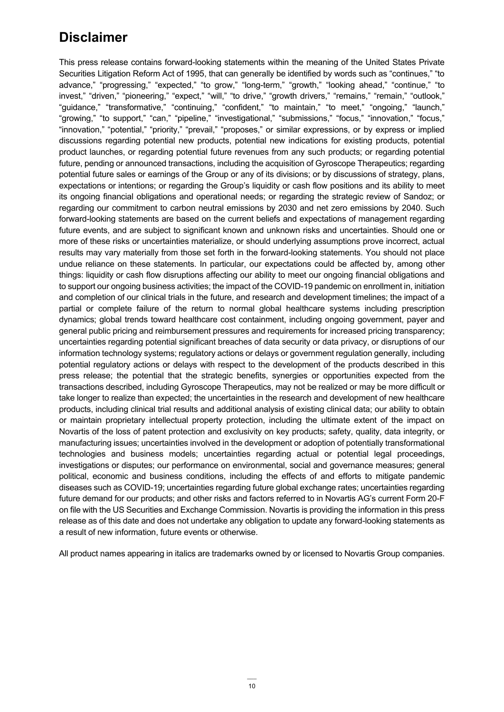### **Disclaimer**

This press release contains forward-looking statements within the meaning of the United States Private Securities Litigation Reform Act of 1995, that can generally be identified by words such as "continues," "to advance," "progressing," "expected," "to grow," "long-term," "growth," "looking ahead," "continue," "to invest," "driven," "pioneering," "expect," "will," "to drive," "growth drivers," "remains," "remain," "outlook," "guidance," "transformative," "continuing," "confident," "to maintain," "to meet," "ongoing," "launch," "growing," "to support," "can," "pipeline," "investigational," "submissions," "focus," "innovation," "focus," "innovation," "potential," "priority," "prevail," "proposes," or similar expressions, or by express or implied discussions regarding potential new products, potential new indications for existing products, potential product launches, or regarding potential future revenues from any such products; or regarding potential future, pending or announced transactions, including the acquisition of Gyroscope Therapeutics; regarding potential future sales or earnings of the Group or any of its divisions; or by discussions of strategy, plans, expectations or intentions; or regarding the Group's liquidity or cash flow positions and its ability to meet its ongoing financial obligations and operational needs; or regarding the strategic review of Sandoz; or regarding our commitment to carbon neutral emissions by 2030 and net zero emissions by 2040. Such forward-looking statements are based on the current beliefs and expectations of management regarding future events, and are subject to significant known and unknown risks and uncertainties. Should one or more of these risks or uncertainties materialize, or should underlying assumptions prove incorrect, actual results may vary materially from those set forth in the forward-looking statements. You should not place undue reliance on these statements. In particular, our expectations could be affected by, among other things: liquidity or cash flow disruptions affecting our ability to meet our ongoing financial obligations and to support our ongoing business activities; the impact of the COVID-19 pandemic on enrollment in, initiation and completion of our clinical trials in the future, and research and development timelines; the impact of a partial or complete failure of the return to normal global healthcare systems including prescription dynamics; global trends toward healthcare cost containment, including ongoing government, payer and general public pricing and reimbursement pressures and requirements for increased pricing transparency; uncertainties regarding potential significant breaches of data security or data privacy, or disruptions of our information technology systems; regulatory actions or delays or government regulation generally, including potential regulatory actions or delays with respect to the development of the products described in this press release; the potential that the strategic benefits, synergies or opportunities expected from the transactions described, including Gyroscope Therapeutics, may not be realized or may be more difficult or take longer to realize than expected; the uncertainties in the research and development of new healthcare products, including clinical trial results and additional analysis of existing clinical data; our ability to obtain or maintain proprietary intellectual property protection, including the ultimate extent of the impact on Novartis of the loss of patent protection and exclusivity on key products; safety, quality, data integrity, or manufacturing issues; uncertainties involved in the development or adoption of potentially transformational technologies and business models; uncertainties regarding actual or potential legal proceedings, investigations or disputes; our performance on environmental, social and governance measures; general political, economic and business conditions, including the effects of and efforts to mitigate pandemic diseases such as COVID-19; uncertainties regarding future global exchange rates; uncertainties regarding future demand for our products; and other risks and factors referred to in Novartis AG's current Form 20-F on file with the US Securities and Exchange Commission. Novartis is providing the information in this press release as of this date and does not undertake any obligation to update any forward-looking statements as a result of new information, future events or otherwise.

All product names appearing in italics are trademarks owned by or licensed to Novartis Group companies.